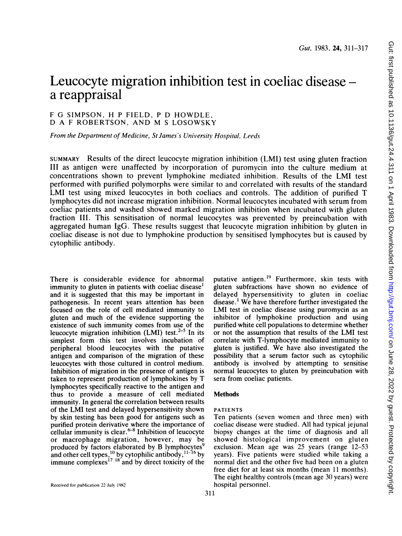# Leucocyte migration inhibition test in coeliac disease a reappraisal

# <sup>F</sup> G SIMPSON, H <sup>P</sup> FIELD, <sup>P</sup> D HOWDLE, D A <sup>F</sup> ROBERTSON, AND M <sup>S</sup> LOSOWSKY

From the Department of Medicine, St James's University Hospital, Leeds

SUMMARY Results of the direct leucocyte migration inhibition (LMI) test using gluten fraction III as antigen were unaffected by incorporation of puromycin into the culture medium at concentrations shown to prevent lymphokine mediated inhibition. Results of the LMI test performed with purified polymorphs were similar to and correlated with results of the standard LMI test using mixed leucocytes in both coeliacs and controls. The addition of purified T lymphocytes did not increase migration inhibition. Normal leucocytes incubated with serum from coeliac patients and washed showed marked migration inhibition when incubated with gluten fraction III. This sensitisation of normal leucocytes was prevented by preincubation with aggregated human IgG. These results suggest that leucocyte migration inhibition by gluten in coeliac disease is not due to lymphokine production by sensitised lymphocytes but is caused by cytophilic antibody.

There is considerable evidence for abnormal immunity to gluten in patients with coeliac disease<sup>1</sup> and it is suggested that this may be important in pathogenesis. In recent years attention has been focused on the role of cell mediated immunity to gluten and much of the evidence supporting the existence of such immunity comes from use of the leucocyte migration inhibition (LMI) test. $2-5$  In its simplest form this test involves incubation of peripheral blood leucocytes with the putative antigen and comparison of the migration of these leucocytes with those cultured in control medium. Inhibition of migration in the presence of antigen is taken to represent production of lymphokines by T lymphocytes specifically reactive to the antigen and thus to provide a measure of cell mediated immunity. In general the correlation between results of the LMI test and delayed hypersensitivity shown by skin testing has been good for antigens such as purified protein derivative where the importance of cellular immunity is clear. $6-8$  Inhibition of leucocyte or macrophage migration, however, may be produced by factors elaborated by B lymphocytes<sup>9</sup> and other cell types,  $^{10}_{10}$  by cytophilic antibody,  $^{11-16}$  by immune complexes'7 <sup>18</sup> and by direct toxicity of the

putative antigen.<sup>19</sup> Furthermore, skin tests with gluten subfractions have shown no evidence of delayed hypersensitivity to gluten in coeliac disease.1 We have therefore further investigated the LMI test in coeliac disease using puromycin as an inhibitor of lymphokine production and using purified white cell populations to determine whether or not the assumption that results of the LMI test correlate with T-lymphocyte mediated immunity to gluten is justified. We have also investigated the possibility that a serum factor such as cytophilic antibody is involved by attempting to sensitise normal leucocytes to gluten by preincubation with sera from coeliac patients.

# **Methods**

#### PATIENTS

Ten patients (seven women and three men) with coeliac disease were studied. All had typical jejunal biopsy changes at the time of diagnosis and all showed histological improvement on gluten exclusion. Mean age was 25 years (range 12-53 years). Five patients were studied while taking a normal diet and the other five had been on a gluten free diet for at least six months (mean 11 months). The eight healthy controls (mean age 30 years) were hospital personnel.

Received for publication 22 July 1982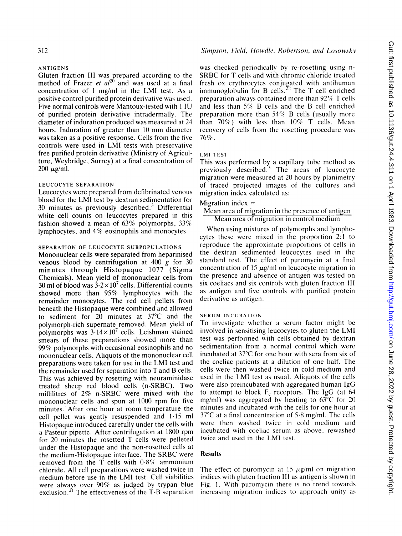#### ANTIGENS

Gluten fraction III was prepared according to the method of Frazer *et al*<sup>20</sup> and was used at a final concentration of <sup>1</sup> mg/ml in the LMI test. As <sup>a</sup> positive control purified protein derivative was used. Five normal controls were Mantoux-tested with <sup>1</sup> IU of purified protein derivative intradermally. The diameter of induration produced was measured at 24 hours. Induration of greater than <sup>10</sup> mm diameter was taken as a positive response. Cells from the five controls were used in LMI tests with preservative free purified protein derivative (Ministry of Agriculture, Weybridge, Surrey) at a final concentration of  $200 \mu g/ml$ .

# LEUCOCYTE SEPARATION

Leucocytes were prepared from defibrinated venous blood for the LMI test by dextran sedimentation for 30 minutes as previously described.3 Differential white cell counts on leucocytes prepared in this fashion showed a mean of  $63\%$  polymorphs,  $33\%$ lymphocytes, and 4% eosinophils and monocytes.

# SEPARATION OF LEUCOCYTE SUBPOPULATIONS

Mononuclear cells were separated from heparinised venous blood by centrifugation at  $400 \text{ g}$  for  $30$ minutes through Histopaque 1077 (Sigma Chemicals). Mean yield of mononuclear cells from 30 ml of blood was  $3.2 \times 10^7$  cells. Differential counts showed more than 95% lymphocytes with the remainder monocytes. The red cell pellets from beneath the Histopaque were combined and allowed to sediment for 20 minutes at 37°C and the polymorph-rich supernate removed. Mean yield of polymorphs was  $3.14 \times 10^7$  cells. Leishman stained smears of these preparations showed more than 99% polymorphs with occasional eosinophils and no mononuclear cells. Aliquots of the mononuclear cell preparations were taken for use in the LMI test and the remainder used for separation into T and B cells. This was achieved by rosetting with neuraminidase treated sheep red blood cells (n-SRBC). Two millilitres of 2% n-SRBC were mixed with the mononuclear cells and spun at 1000 rpm for five minutes. After one hour at room temperature the cell pellet was gently resuspended and 1-15 ml Histopaque introduced carefully under the cells with a Pasteur pipette. After centrifugation at 1800 rpm for 20 minutes the rosetted T cells were pelleted under the Histopaque and the non-rosetted cells at the medium-Histopaque interface. The SRBC were removed from the  $\overline{T}$  cells with  $0.8\%$  ammonium chloride. All cell preparations were washed twice in medium before use in the LMI test. Cell viabilities were always over 90% as judged by trypan blue exclusion.<sup>21</sup> The effectiveness of the T-B separation

### Simpson, Field, Howdle, Robertson, and Losowsky

was checked periodically by re-rosetting using n-SRBC for T cells and with chromic chloride treated fresh ox erythrocytes conjugated with antihuman immunoglobulin for B cells.<sup>22</sup> The T cell enriched preparation always contained more than  $92\%$  T cells and less than  $5\%$  B cells and the B cell enriched preparation more than  $54\%$  B cells (usually more than  $70\%$ ) with less than  $10\%$  T cells. Mean recovery of cells from the rosetting procedure was 76%.

# LMI TEST

This was performed by a capillary tube method as previously described.<sup>3</sup> The areas of leucocyte migration were measured at 20 hours by planimetry of traced projected images of the cultures and migration index calculated as:

### Migration index  $=$

#### Mean area of migration in the presence of antigen Mean area of migration in control medium

When using mixtures of polymorphs and lymphocytes these were mixed in the proportion 2:1 to reproduce the approximate proportions of cells in the dextran sedimented leucocytes used in the standard test. The effect of puromycin at a final concentration of 15  $\mu$ g/ml on leucocyte migration in the presence and absence of antigen was tested on six coeliacs and six controls with gluten fraction III as antigen and five controls with purified protein derivative as antigen.

### SERUM INCUBATION

To investigate whether <sup>a</sup> serum factor might be involved in sensitising leucocytes to gluten the LMI test was performed with cells obtained by dextran sedimentation from a normal control which were incubated at 37°C for one hour with sera from six of the coeliac patients at a dilution of one half. The cells were then washed twice in cold medium and used in the LMI test as usual. Aliquots of the cells were also preincubated with aggregated human IgG to attempt to block  $F_c$  receptors. The IgG (at 64 mg/ml) was aggregated by heating to 63°C for 20 minutes and incubated with the cells for one hour at 37°C at <sup>a</sup> final concentration of 5-8 mg/ml. The cells were then washed twice in cold medium and incubated with coeliac serum as above. rewashed twice and used in the LMI test.

#### Results

The effect of puromycin at 15  $\mu$ g/ml on migration indices with gluten fraction III as antigen is shown in Fig. 1. With puromycin there is no trend towards increasing migration indices to approach unitv as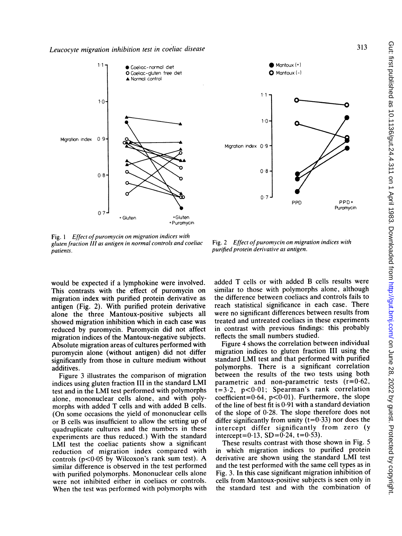



Fig. 1 Effect of puromycin on migration indices with gluten fraction Ill as antigen in normal controls and coeliac patients.

Fig. 2 Effect of puromycin on migration indices with purified protein derivative as antigen.

would be expected if a lymphokine were involved. This contrasts with the effect of puromycin on migration index with purified protein derivative as antigen (Fig. 2). With purified protein derivative alone the three Mantoux-positive subjects all showed migration inhibition which in each case was reduced by puromycin. Puromycin did not affect migration indices of the Mantoux-negative subjects. Absolute migration areas of cultures performed with puromycin alone (without antigen) did not differ significantly from those in culture medium without additives.

Figure 3 illustrates the comparison of migration indices using gluten fraction III in the standard LMI test and in the LMI test performed with polymorphs alone, mononuclear cells alone, and with polymorphs with added T cells and with added B cells. (On some occasions the yield of mononuclear cells or B cells was insufficient to allow the setting up of quadruplicate cultures and the numbers in these experiments are thus reduced.) With the standard LMI test the coeliac patients show <sup>a</sup> significant reduction of migration index compared with controls ( $p$ <0.05 by Wilcoxon's rank sum test). A similar difference is observed in the test performed with purified polymorphs. Mononuclear cells alone were not inhibited either in coeliacs or controls. When the test was performed with polymorphs with added T cells or with added B cells results were similar to those with polymorphs alone, although the difference between coeliacs and controls fails to reach statistical significance in each case. There were no significant differences between results from treated and untreated coeliacs in these experiments in contrast with previous findings: this probably reflects the small numbers studied.

Figure 4 shows the correlation between individual migration indices to gluten fraction III using the standard LMI test and that performed with purified polymorphs. There is a significant correlation between the results of the two tests using both parametric and non-parametric tests (r=0.62,  $t=3.2$ ,  $p<0.01$ ; Spearman's rank correlation coefficient= $0.64$ , p< $0.01$ ). Furthermore, the slope of the line of best fit is  $0.91$  with a standard deviation of the slope of  $0.28$ . The slope therefore does not differ significantly from unity  $(t=0.33)$  nor does the intercept differ significantly from zero (y intercept=0.13,  $SD = 0.24$ ,  $t = 0.53$ ).

These results contrast with those shown in Fig. <sup>5</sup> in which migration indices to purified protein derivative are shown using the standard LMI test and the test performed with the same cell types as in Fig. 3. In this case significant migration inhibition of cells from Mantoux-positive subjects is seen only in the standard test and with the combination of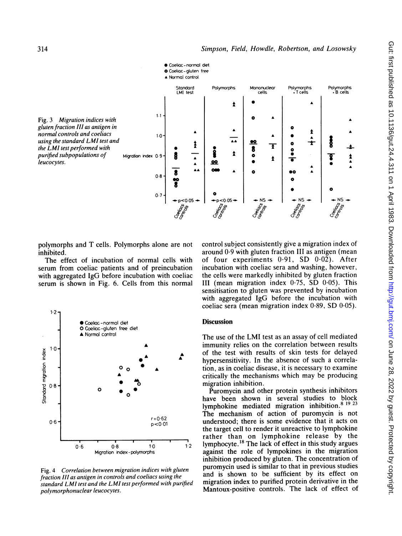

polymorphs and T cells. Polymorphs alone are not inhibited.

The effect of incubation of normal cells with serum from coeliac patients and of preincubation with aggregated IgG before incubation with coeliac serum is shown in Fig. 6. Cells from this normal



Fig. 4 Correlation between migration indices with gluten fraction III as antigen in controls and coeliacs using the standard LMI test and the LMI test performed with purified polymorphonuclear leucocytes.

control subject consistently give a migration index of around 0-9 with gluten fraction III as antigen (mean of four experiments 0.91, SD 0.02). After incubation with coeliac sera and washing, however, the cells were markedly inhibited by gluten fraction III (mean migration index 0.75, SD 0.05). This sensitisation to gluten was prevented by incubation with aggregated IgG before the incubation with coeliac sera (mean migration index 0-89, SD 0.05).

# **Discussion**

The use of the LMI test as an assay of cell mediated immunity relies on the correlation between results of the test with results of skin tests for delayed hypersensitivity. In the absence of such <sup>a</sup> correlation, as in coeliac disease, it is necessary to examine critically the mechanisms which may be producing migration inhibition.

Puromycin and other protein synthesis inhibitors have been shown in several studies to block lymphokine mediated migration inhibition.<sup>8 19 23</sup> The mechanism of action of puromycin is not<br> $p < 0.01$  understood; there is some evidence that it acts on understood; there is some evidence that it acts on the target cell to render it unreactive to lymphokine rather than on lymphokine release by the  $10$  1  $12$  lymphocyte.<sup>18</sup> The lack of effect in this study argues against the role of lympokines in the migration inhibition produced by gluten. The concentration of puromycin used is similar to that in previous studies and is shown to be sufficient by its effect on migration index to purified protein derivative in the Mantoux-positive controls. The lack of effect of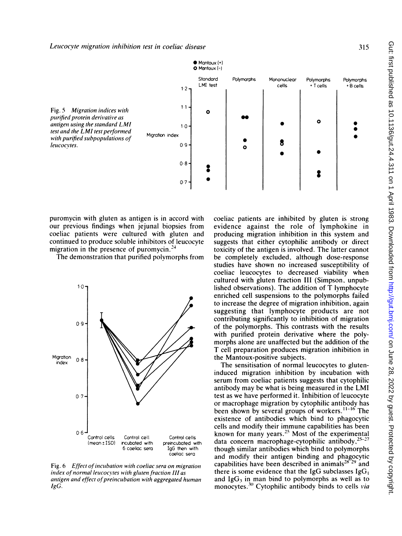

puromycin with gluten as antigen is in accord with our previous findings when jejunal biopsies from coeliac patients were cultured with gluten and continued to produce soluble inhibitors of leucocyte migration in the presence of puromycin. $24$ 

The demonstration that purified polvmorphs from



Fig. 6 Effect of incubation with coeliac sera on migration index of normal leucocytes with gluten fraction III as antigen and effect of preincubation with aggregated human IgG.

coeliac patients are inhibited by gluten is strong evidence against the role of lymphokine in producing migration inhibition in this system and suggests that either cytophilic antibody or direct toxicity of the antigen is involved. The latter cannot be completely excluded, although dose-response studies have shown no increased susceptibility of coeliac leucocytes to decreased viability when cultured with gluten fraction III (Simpson. unpublished observations). The addition of T lymphocyte enriched cell suspensions to the polymorphs failed to increase the degree of migration inhibition, again suggesting that lymphocyte products are not contributing significantly to inhibition of migration of the polymorphs. This contrasts with the results with purified protein derivative where the polymorphs alone are unaffected but the addition of the T cell preparation produces migration inhibition in the Mantoux-positive subjects.

The sensitisation of normal leucocytes to gluteninduced migration inhibition by incubation with serum from coeliac patients suggests that cytophilic antibody may be what is being measured in the LMI test as we have performed it. Inhibition of leucocyte or macrophage migration by cytophilic antibody has been shown by several groups of workers.<sup>11-16</sup> The existence of antibodies which bind to phagocytic cells and modify their immune capabilities has been known for many years.<sup>25</sup> Most of the experimental data concern macrophage-cytophilic antibody, $25-27$ though similar antibodies which bind to polymorphs and modify their antigen binding and phagocytic capabilities have been described in animals<sup>28</sup><sup>29</sup> and there is some evidence that the IgG subclasses  $IgG<sub>1</sub>$ and  $IgG_3$  in man bind to polymorphs as well as to monocytes.<sup>30</sup> Cytophilic antibody binds to cells via

315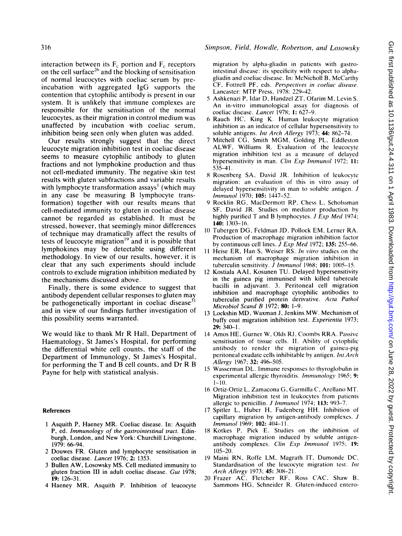interaction between its  $F_c$  portion and  $F_c$  receptors on the cell surface<sup>26</sup> and the blocking of sensitisation of normal leucocytes with coeliac serum by preincubation with aggregated IgG supports the contention that cytophilic antibody is present in our system. It is unlikely that immune complexes are responsible for the sensitisation of the normal leucocytes, as their migration in control medium was unaffected by incubation with coeliac serum, inhibition being seen only when gluten was added.

Our results strongly suggest that the direct leucocyte migration inhibition test in coeliac disease seems to measure cytophilic antibody to gluten fractions and not lymphokine production and thus not cell-mediated immunity. The negative skin test results with gluten subfractions and variable results with lymphocyte transformation assays<sup>1</sup> (which may in any case be measuring B lymphocyte transformation) together with our results means that cell-mediated immunity to gluten in coeliac disease cannot be regarded as established. It must be stressed, however, that seemingly minor differences of technique may dramatically affect the results of tests of leucocyte migration<sup>19</sup> and it is possible that lymphokines may be detectable using different methodology. In view of our results, however, it is clear that any such experiments should include controls to exclude migration inhibition mediated by the mechanisms discussed above.

Finally, there is some evidence to suggest that antibody dependent cellular responses to gluten may be pathogenetically important in coeliac disease $31$ and in view of our findings further investigation of this possibility seems warranted.

We would like to thank Mr R Hall, Department of Haematology, St James's Hospital, for performing the differential white cell counts, the staff of the Department of Immunology, St James's Hospital, for performing the T and B cell counts, and Dr R B Payne for help with statistical analysis.

#### References

- <sup>1</sup> Asquith P, Haeney MR. Coeliac disease. In: Asquith P, ed. Immunology of the gastrointestinal tract. Edinburgh, London, and New York: Churchill Livingstone, 1979: 66-94.
- 2 Douwes FR. Gluten and lymphocyte sensitisation in coeliac disease. Lancet 1976; 2: 1353.
- <sup>3</sup> Bullen AW, Losowsky MS. Cell mediated immunity to gluten fraction III in adult coeliac disease. Gut 1978; 19: 126-31.
- 4 Haeney MR, Asquith P. Inhibition of leucocyte

# 316 Simpson, Field, Howdle, Robertson, and Losowsky

migration by alpha-gliadin in patients with gastrointestinal disease: its specificity with respect to alphagliadin and coeliac disease. In: McNicholl B, McCarthy CF, Fottrell PF, eds. Perspectives in coeliac disease. Lancaster: MTP Press, 1978: 229-42.

- 5 Ashkenazi P, Idar D, Handzel ZT, Ofarim M, Levin S. An in-vitro immunological assay for diagnosis of coeliac disease. Lancet 1978; 1: 627-9.
- <sup>6</sup> Rauch HC, King K. Human leukocyte migration inhibition as an indicator of cellular hypersensitivity to soluble antigens. *Int Arch Allergy* 1973; 44: 862-74.
- <sup>7</sup> Mitchell CG, Smith MGM, Golding PL, Eddleston ALWF, Williams R. Evaluation of the leucocyte migration inhibition test as a measure of delayed hypersensitivity in man. Clin Exp Immunol 1972; 11: 535-41.
- 8 Rosenberg SA, David JR. Inhibition of leukocyte migration: an evaluation of this in vitro assay of delayed hypersensitivity in man to soluble antigen. J Immunol 1970; 105: 1447-52.
- 9 Rocklin RG, MacDermott RP, Chess L, Scholssman SF, David JR. Studies on mediator production by highly purified T and B lymphocytes. *J Exp Med* 1974; 140: 1303-16.
- <sup>10</sup> Tubergen DG, Feldman JD, Pollock EM, Lerner RA. Production of macrophage migration inhibition factor by continuous cell lines. J Exp Med 1972; 135: 255-66.
- <sup>11</sup> Heise ER, Han S. Weiser RS. In vitro studies on the mechanism of macrophage migration inhibition in tuberculin sensitivity. *J Immunol* 1968; 101: 1005-15.
- <sup>12</sup> Kostiala AAI, Kosunen TU. Delayed hypersensitivity in the guinea pig immunised with killed tubercule bacilli in adjuvant. 3. Peritoneal cell migration inhibition and macrophage cytophilic antibodies to tuberculin purified protein derivative. Acta Pathol Microbiol Scand B 1972; 80: 1-9.
- <sup>13</sup> Lockshin MD, Waxman J, Jenkins MW. Mechanism of buffy coat migration inhibition test. Experientia 1973; 29: 340-1.
- <sup>14</sup> Amos HE, Gurner W, Olds RJ, Coombs RRA. Passive sensitisation of tissue cells. II. Ability of cytophilic antibody to render the migration of guinea-pig peritoneal exudate cells inhibitable by antigen. Int Arch Allergy 1967; 32: 496-505.
- <sup>15</sup> Wasserman DL. Immune responses to thyroglobulin in experimental allergic thyroiditis. Immunology 1965; 9:  $1 - 10$ .
- <sup>16</sup> Ortiz-Ortiz L, Zamacona G, Garmilla C, Arellano MT. Migration inhibition test in leukocytes from patients allergic to penicillin. *J Immunol* 1974; 113: 993-7.
- <sup>17</sup> Spitler L, Huber H, Fudenberg HH. Inhibition of capillary migration by antigen-antibody complexes. J Immunol 1969; 102: 404-1 1.
- 18 Kotkes P, Pick E. Studies on the inhibition of macrophage migration induced by soluble antigenantibody complexes. Clin Exp Immunol 1975; 19: 105-20.
- <sup>19</sup> Maini RN, Roffe LM, Magrath IT, Dumonde DC. Standardisation of the leucocyte migration test. Int Arch Allergy 1973; 45: 308-21.
- 20 Frazer AC, Fletcher RF. Ross CAC, Shaw B. Sammons HG, Schneider R. Gluten-induced entero-